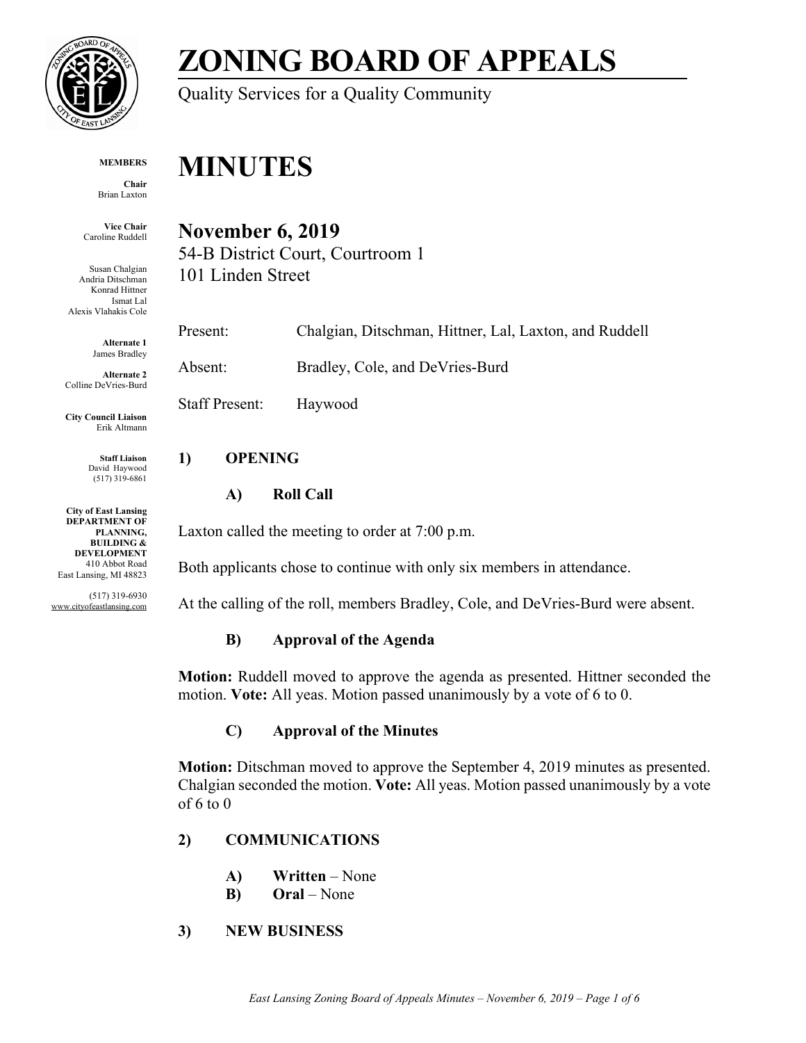

# **ZONING BOARD OF APPEALS**

Quality Services for a Quality Community

#### **MEMBERS**

**Chair** Brian Laxton

**Vice Chair** Caroline Ruddell

Susan Chalgian Andria Ditschman Konrad Hittner Ismat Lal Alexis Vlahakis Cole

> **Alternate 1** James Bradley

**Alternate 2** Colline DeVries-Burd

**City Council Liaison** Erik Altmann

> **Staff Liaison** David Haywood (517) 319-6861

**City of East Lansing DEPARTMENT OF PLANNING, BUILDING & DEVELOPMENT** 410 Abbot Road East Lansing, MI 48823

(517) 319-6930 www.cityofeastlansing.com

## **MINUTES**

### **November 6, 2019**

54-B District Court, Courtroom 1 101 Linden Street

Present: Chalgian, Ditschman, Hittner, Lal, Laxton, and Ruddell Absent: Bradley, Cole, and DeVries-Burd

Staff Present: Haywood

#### **1) OPENING**

#### **A) Roll Call**

Laxton called the meeting to order at 7:00 p.m.

Both applicants chose to continue with only six members in attendance.

At the calling of the roll, members Bradley, Cole, and DeVries-Burd were absent.

#### **B) Approval of the Agenda**

**Motion:** Ruddell moved to approve the agenda as presented. Hittner seconded the motion. **Vote:** All yeas. Motion passed unanimously by a vote of 6 to 0.

#### **C) Approval of the Minutes**

**Motion:** Ditschman moved to approve the September 4, 2019 minutes as presented. Chalgian seconded the motion. **Vote:** All yeas. Motion passed unanimously by a vote of 6 to 0

#### **2) COMMUNICATIONS**

- **A) Written** None
- **B) Oral**  None

#### **3) NEW BUSINESS**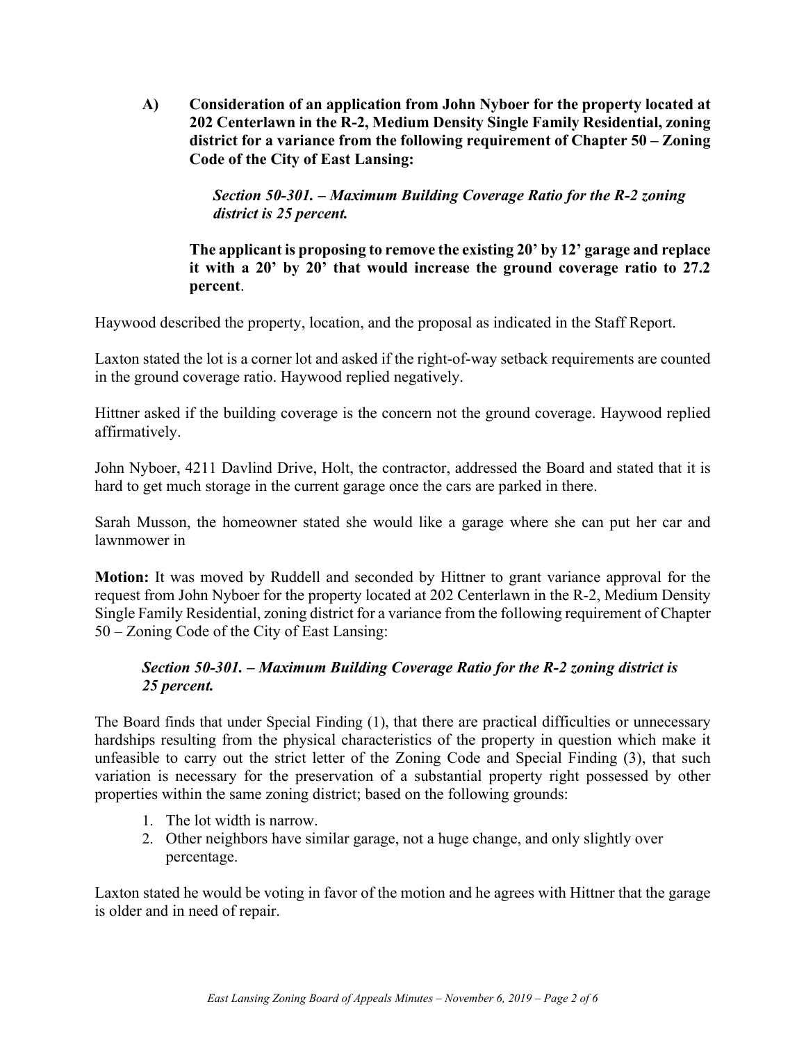**A) Consideration of an application from John Nyboer for the property located at 202 Centerlawn in the R-2, Medium Density Single Family Residential, zoning district for a variance from the following requirement of Chapter 50 – Zoning Code of the City of East Lansing:** 

> *Section 50-301. – Maximum Building Coverage Ratio for the R-2 zoning district is 25 percent.*

**The applicant is proposing to remove the existing 20' by 12' garage and replace it with a 20' by 20' that would increase the ground coverage ratio to 27.2 percent**.

Haywood described the property, location, and the proposal as indicated in the Staff Report.

Laxton stated the lot is a corner lot and asked if the right-of-way setback requirements are counted in the ground coverage ratio. Haywood replied negatively.

Hittner asked if the building coverage is the concern not the ground coverage. Haywood replied affirmatively.

John Nyboer, 4211 Davlind Drive, Holt, the contractor, addressed the Board and stated that it is hard to get much storage in the current garage once the cars are parked in there.

Sarah Musson, the homeowner stated she would like a garage where she can put her car and lawnmower in

**Motion:** It was moved by Ruddell and seconded by Hittner to grant variance approval for the request from John Nyboer for the property located at 202 Centerlawn in the R-2, Medium Density Single Family Residential, zoning district for a variance from the following requirement of Chapter 50 – Zoning Code of the City of East Lansing:

#### *Section 50-301. – Maximum Building Coverage Ratio for the R-2 zoning district is 25 percent.*

The Board finds that under Special Finding (1), that there are practical difficulties or unnecessary hardships resulting from the physical characteristics of the property in question which make it unfeasible to carry out the strict letter of the Zoning Code and Special Finding (3), that such variation is necessary for the preservation of a substantial property right possessed by other properties within the same zoning district; based on the following grounds:

- 1. The lot width is narrow.
- 2. Other neighbors have similar garage, not a huge change, and only slightly over percentage.

Laxton stated he would be voting in favor of the motion and he agrees with Hittner that the garage is older and in need of repair.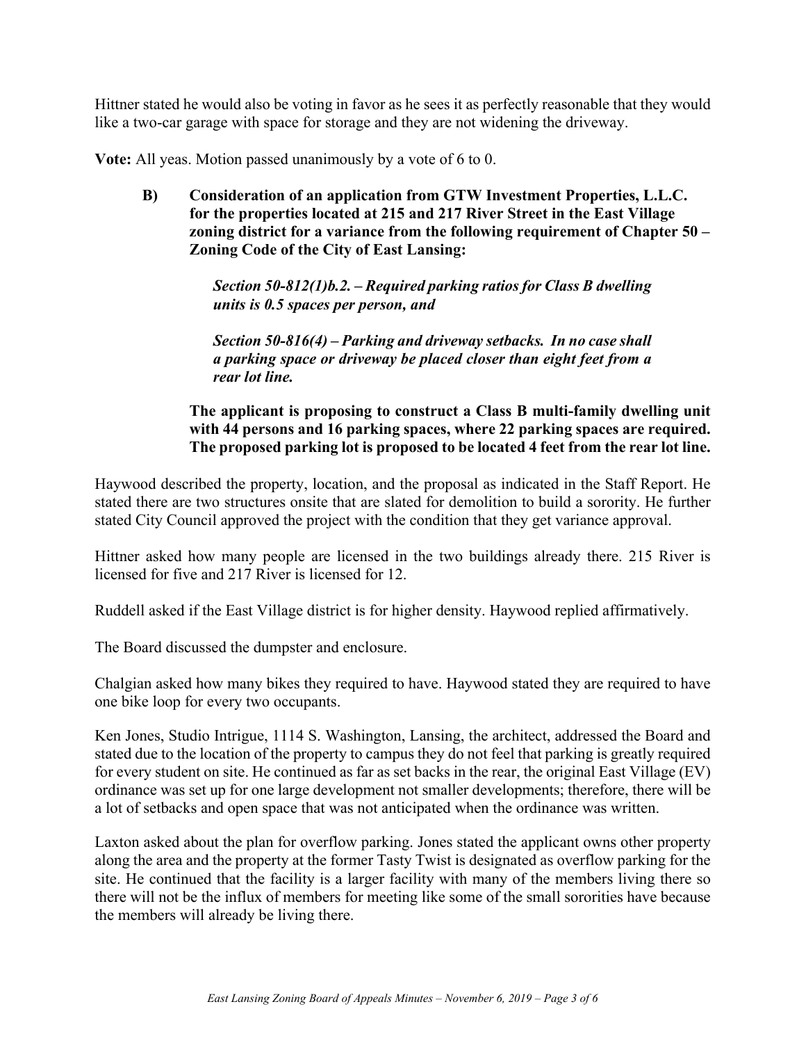Hittner stated he would also be voting in favor as he sees it as perfectly reasonable that they would like a two-car garage with space for storage and they are not widening the driveway.

**Vote:** All yeas. Motion passed unanimously by a vote of 6 to 0.

**B) Consideration of an application from GTW Investment Properties, L.L.C. for the properties located at 215 and 217 River Street in the East Village zoning district for a variance from the following requirement of Chapter 50 – Zoning Code of the City of East Lansing:** 

> *Section 50-812(1)b.2. – Required parking ratios for Class B dwelling units is 0.5 spaces per person, and*

> *Section 50-816(4) – Parking and driveway setbacks. In no case shall a parking space or driveway be placed closer than eight feet from a rear lot line.*

#### **The applicant is proposing to construct a Class B multi-family dwelling unit with 44 persons and 16 parking spaces, where 22 parking spaces are required. The proposed parking lot is proposed to be located 4 feet from the rear lot line.**

Haywood described the property, location, and the proposal as indicated in the Staff Report. He stated there are two structures onsite that are slated for demolition to build a sorority. He further stated City Council approved the project with the condition that they get variance approval.

Hittner asked how many people are licensed in the two buildings already there. 215 River is licensed for five and 217 River is licensed for 12.

Ruddell asked if the East Village district is for higher density. Haywood replied affirmatively.

The Board discussed the dumpster and enclosure.

Chalgian asked how many bikes they required to have. Haywood stated they are required to have one bike loop for every two occupants.

Ken Jones, Studio Intrigue, 1114 S. Washington, Lansing, the architect, addressed the Board and stated due to the location of the property to campus they do not feel that parking is greatly required for every student on site. He continued as far as set backs in the rear, the original East Village (EV) ordinance was set up for one large development not smaller developments; therefore, there will be a lot of setbacks and open space that was not anticipated when the ordinance was written.

Laxton asked about the plan for overflow parking. Jones stated the applicant owns other property along the area and the property at the former Tasty Twist is designated as overflow parking for the site. He continued that the facility is a larger facility with many of the members living there so there will not be the influx of members for meeting like some of the small sororities have because the members will already be living there.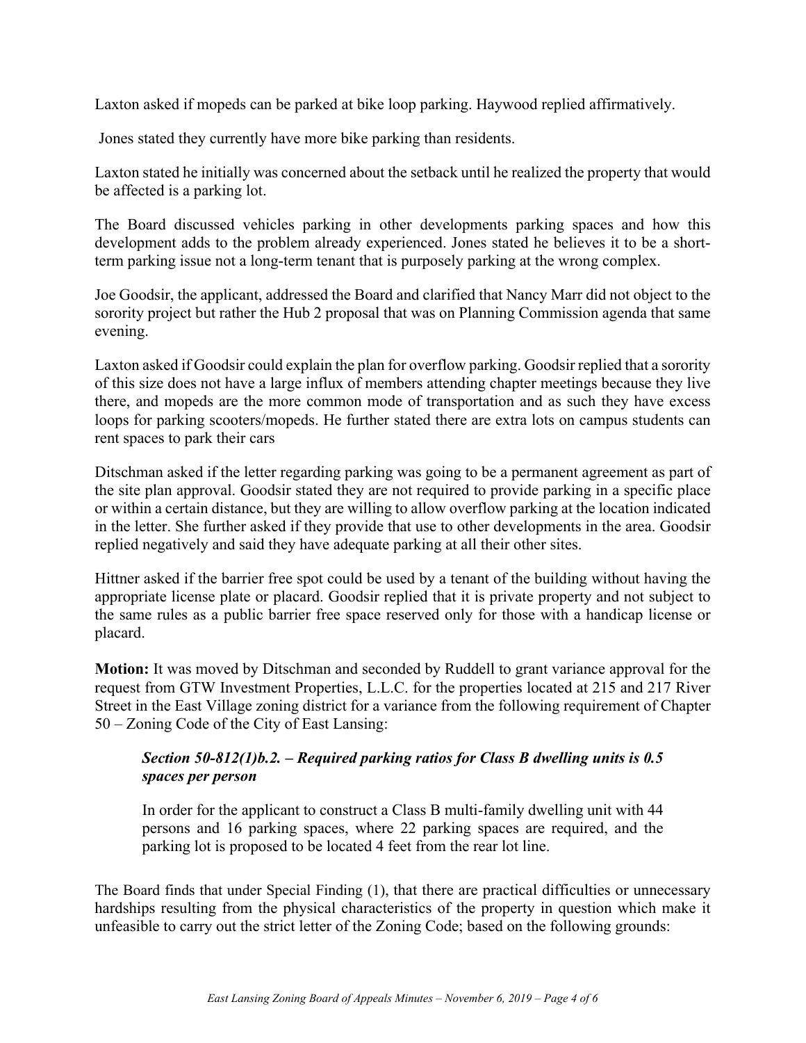Laxton asked if mopeds can be parked at bike loop parking. Haywood replied affirmatively.

Jones stated they currently have more bike parking than residents.

Laxton stated he initially was concerned about the setback until he realized the property that would be affected is a parking lot.

The Board discussed vehicles parking in other developments parking spaces and how this development adds to the problem already experienced. Jones stated he believes it to be a shortterm parking issue not a long-term tenant that is purposely parking at the wrong complex.

Joe Goodsir, the applicant, addressed the Board and clarified that Nancy Marr did not object to the sorority project but rather the Hub 2 proposal that was on Planning Commission agenda that same evening.

Laxton asked if Goodsir could explain the plan for overflow parking. Goodsir replied that a sorority of this size does not have a large influx of members attending chapter meetings because they live there, and mopeds are the more common mode of transportation and as such they have excess loops for parking scooters/mopeds. He further stated there are extra lots on campus students can rent spaces to park their cars

Ditschman asked if the letter regarding parking was going to be a permanent agreement as part of the site plan approval. Goodsir stated they are not required to provide parking in a specific place or within a certain distance, but they are willing to allow overflow parking at the location indicated in the letter. She further asked if they provide that use to other developments in the area. Goodsir replied negatively and said they have adequate parking at all their other sites.

Hittner asked if the barrier free spot could be used by a tenant of the building without having the appropriate license plate or placard. Goodsir replied that it is private property and not subject to the same rules as a public barrier free space reserved only for those with a handicap license or placard.

**Motion:** It was moved by Ditschman and seconded by Ruddell to grant variance approval for the request from GTW Investment Properties, L.L.C. for the properties located at 215 and 217 River Street in the East Village zoning district for a variance from the following requirement of Chapter 50 – Zoning Code of the City of East Lansing:

#### *Section 50-812(1)b.2. – Required parking ratios for Class B dwelling units is 0.5 spaces per person*

In order for the applicant to construct a Class B multi-family dwelling unit with 44 persons and 16 parking spaces, where 22 parking spaces are required, and the parking lot is proposed to be located 4 feet from the rear lot line.

The Board finds that under Special Finding (1), that there are practical difficulties or unnecessary hardships resulting from the physical characteristics of the property in question which make it unfeasible to carry out the strict letter of the Zoning Code; based on the following grounds: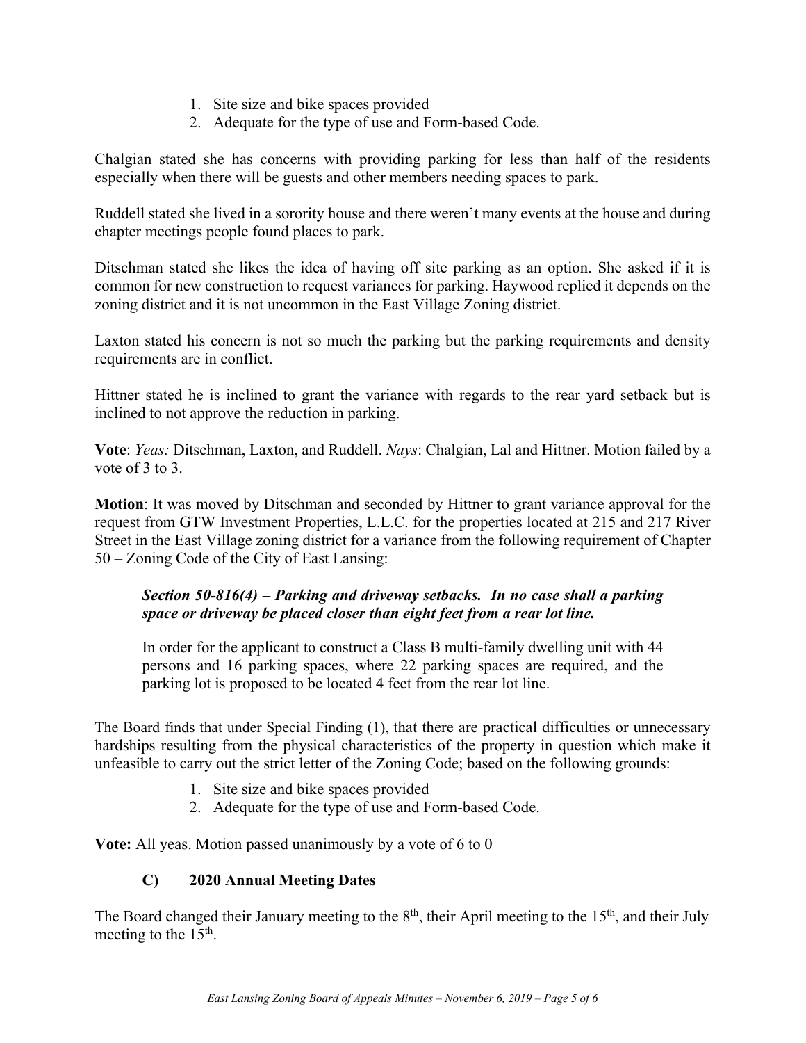- 1. Site size and bike spaces provided
- 2. Adequate for the type of use and Form-based Code.

Chalgian stated she has concerns with providing parking for less than half of the residents especially when there will be guests and other members needing spaces to park.

Ruddell stated she lived in a sorority house and there weren't many events at the house and during chapter meetings people found places to park.

Ditschman stated she likes the idea of having off site parking as an option. She asked if it is common for new construction to request variances for parking. Haywood replied it depends on the zoning district and it is not uncommon in the East Village Zoning district.

Laxton stated his concern is not so much the parking but the parking requirements and density requirements are in conflict.

Hittner stated he is inclined to grant the variance with regards to the rear yard setback but is inclined to not approve the reduction in parking.

**Vote**: *Yeas:* Ditschman, Laxton, and Ruddell. *Nays*: Chalgian, Lal and Hittner. Motion failed by a vote of 3 to 3.

**Motion**: It was moved by Ditschman and seconded by Hittner to grant variance approval for the request from GTW Investment Properties, L.L.C. for the properties located at 215 and 217 River Street in the East Village zoning district for a variance from the following requirement of Chapter 50 – Zoning Code of the City of East Lansing:

#### *Section 50-816(4) – Parking and driveway setbacks. In no case shall a parking space or driveway be placed closer than eight feet from a rear lot line.*

In order for the applicant to construct a Class B multi-family dwelling unit with 44 persons and 16 parking spaces, where 22 parking spaces are required, and the parking lot is proposed to be located 4 feet from the rear lot line.

The Board finds that under Special Finding (1), that there are practical difficulties or unnecessary hardships resulting from the physical characteristics of the property in question which make it unfeasible to carry out the strict letter of the Zoning Code; based on the following grounds:

- 1. Site size and bike spaces provided
- 2. Adequate for the type of use and Form-based Code.

**Vote:** All yeas. Motion passed unanimously by a vote of 6 to 0

#### **C) 2020 Annual Meeting Dates**

The Board changed their January meeting to the  $8<sup>th</sup>$ , their April meeting to the  $15<sup>th</sup>$ , and their July meeting to the  $15<sup>th</sup>$ .